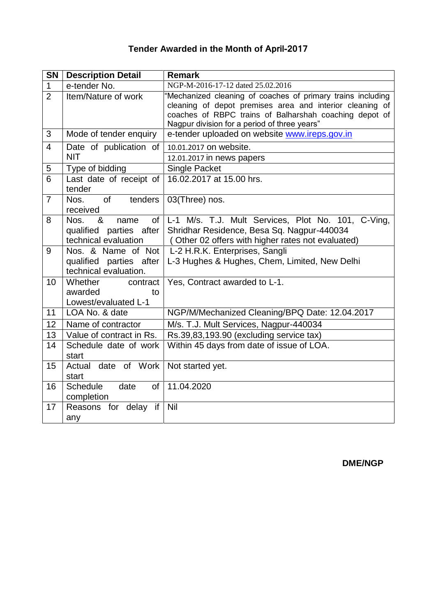## **Tender Awarded in the Month of April-2017**

| <b>SN</b>      | <b>Description Detail</b>                                                  | <b>Remark</b>                                                                                                                                                                                                                     |
|----------------|----------------------------------------------------------------------------|-----------------------------------------------------------------------------------------------------------------------------------------------------------------------------------------------------------------------------------|
| $\mathbf{1}$   | e-tender No.                                                               | NGP-M-2016-17-12 dated 25.02.2016                                                                                                                                                                                                 |
| $\overline{2}$ | Item/Nature of work                                                        | "Mechanized cleaning of coaches of primary trains including<br>cleaning of depot premises area and interior cleaning of<br>coaches of RBPC trains of Balharshah coaching depot of<br>Nagpur division for a period of three years" |
| 3              | Mode of tender enquiry                                                     | e-tender uploaded on website www.ireps.gov.in                                                                                                                                                                                     |
| $\overline{4}$ | Date of publication of                                                     | 10.01.2017 on website.                                                                                                                                                                                                            |
|                | <b>NIT</b>                                                                 | 12.01.2017 in news papers                                                                                                                                                                                                         |
| 5              | Type of bidding                                                            | <b>Single Packet</b>                                                                                                                                                                                                              |
| 6              | Last date of receipt of<br>tender                                          | 16.02.2017 at 15.00 hrs.                                                                                                                                                                                                          |
| $\overline{7}$ | Nos.<br><b>of</b><br>tenders<br>received                                   | 03(Three) nos.                                                                                                                                                                                                                    |
| 8              | &<br>Nos.<br>of<br>name<br>qualified parties after<br>technical evaluation | L-1 M/s. T.J. Mult Services, Plot No. 101, C-Ving,<br>Shridhar Residence, Besa Sq. Nagpur-440034<br>(Other 02 offers with higher rates not evaluated)                                                                             |
| 9              | Nos. & Name of Not<br>qualified parties after<br>technical evaluation.     | L-2 H.R.K. Enterprises, Sangli<br>L-3 Hughes & Hughes, Chem, Limited, New Delhi                                                                                                                                                   |
| 10             | Whether<br>contract<br>awarded<br>to<br>Lowest/evaluated L-1               | Yes, Contract awarded to L-1.                                                                                                                                                                                                     |
| 11             | LOA No. & date                                                             | NGP/M/Mechanized Cleaning/BPQ Date: 12.04.2017                                                                                                                                                                                    |
| 12             | Name of contractor                                                         | M/s. T.J. Mult Services, Nagpur-440034                                                                                                                                                                                            |
| 13             | Value of contract in Rs.                                                   | Rs.39,83,193.90 (excluding service tax)                                                                                                                                                                                           |
| 14             | Schedule date of work<br>start                                             | Within 45 days from date of issue of LOA.                                                                                                                                                                                         |
| 15             | Actual date of Work<br>start                                               | Not started yet.                                                                                                                                                                                                                  |
| 16             | <b>Schedule</b><br>date<br><b>of</b><br>completion                         | 11.04.2020                                                                                                                                                                                                                        |
| 17             | Reasons for delay if<br>any                                                | Nil                                                                                                                                                                                                                               |

**DME/NGP**